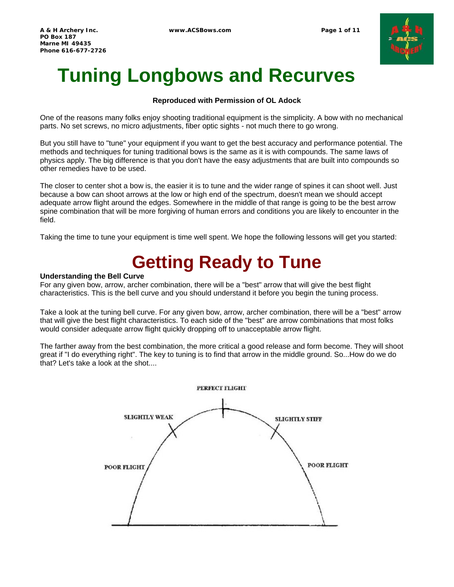

# **Tuning Longbows and Recurves**

### **Reproduced with Permission of OL Adock**

One of the reasons many folks enjoy shooting traditional equipment is the simplicity. A bow with no mechanical parts. No set screws, no micro adjustments, fiber optic sights - not much there to go wrong.

But you still have to "tune" your equipment if you want to get the best accuracy and performance potential. The methods and techniques for tuning traditional bows is the same as it is with compounds. The same laws of physics apply. The big difference is that you don't have the easy adjustments that are built into compounds so other remedies have to be used.

The closer to center shot a bow is, the easier it is to tune and the wider range of spines it can shoot well. Just because a bow can shoot arrows at the low or high end of the spectrum, doesn't mean we should accept adequate arrow flight around the edges. Somewhere in the middle of that range is going to be the best arrow spine combination that will be more forgiving of human errors and conditions you are likely to encounter in the field.

Taking the time to tune your equipment is time well spent. We hope the following lessons will get you started:

# **Getting Ready to Tune**

#### **Understanding the Bell Curve**

For any given bow, arrow, archer combination, there will be a "best" arrow that will give the best flight characteristics. This is the bell curve and you should understand it before you begin the tuning process.

Take a look at the tuning bell curve. For any given bow, arrow, archer combination, there will be a "best" arrow that will give the best flight characteristics. To each side of the "best" are arrow combinations that most folks would consider adequate arrow flight quickly dropping off to unacceptable arrow flight.

The farther away from the best combination, the more critical a good release and form become. They will shoot great if "I do everything right". The key to tuning is to find that arrow in the middle ground. So...How do we do that? Let's take a look at the shot....

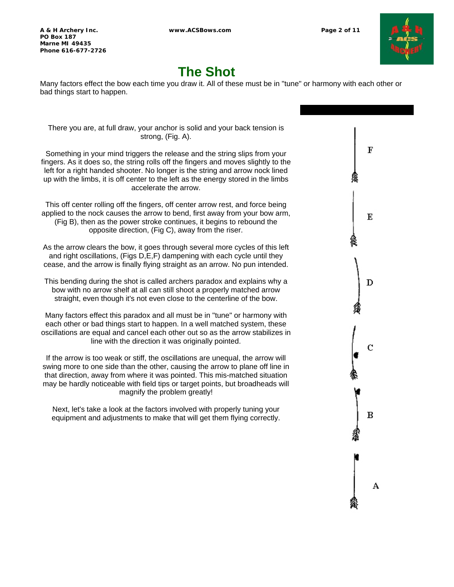# **The Shot**

Many factors effect the bow each time you draw it. All of these must be in "tune" or harmony with each other or bad things start to happen.

There you are, at full draw, your anchor is solid and your back tension is strong, (Fig. A).

Something in your mind triggers the release and the string slips from your fingers. As it does so, the string rolls off the fingers and moves slightly to the left for a right handed shooter. No longer is the string and arrow nock lined up with the limbs, it is off center to the left as the energy stored in the limbs accelerate the arrow.

This off center rolling off the fingers, off center arrow rest, and force being applied to the nock causes the arrow to bend, first away from your bow arm, (Fig B), then as the power stroke continues, it begins to rebound the opposite direction, (Fig C), away from the riser.

As the arrow clears the bow, it goes through several more cycles of this left and right oscillations, (Figs D,E,F) dampening with each cycle until they cease, and the arrow is finally flying straight as an arrow. No pun intended.

This bending during the shot is called archers paradox and explains why a bow with no arrow shelf at all can still shoot a properly matched arrow straight, even though it's not even close to the centerline of the bow.

Many factors effect this paradox and all must be in "tune" or harmony with each other or bad things start to happen. In a well matched system, these oscillations are equal and cancel each other out so as the arrow stabilizes in line with the direction it was originally pointed.

If the arrow is too weak or stiff, the oscillations are unequal, the arrow will swing more to one side than the other, causing the arrow to plane off line in that direction, away from where it was pointed. This mis-matched situation may be hardly noticeable with field tips or target points, but broadheads will magnify the problem greatly!

Next, let's take a look at the factors involved with properly tuning your equipment and adjustments to make that will get them flying correctly.

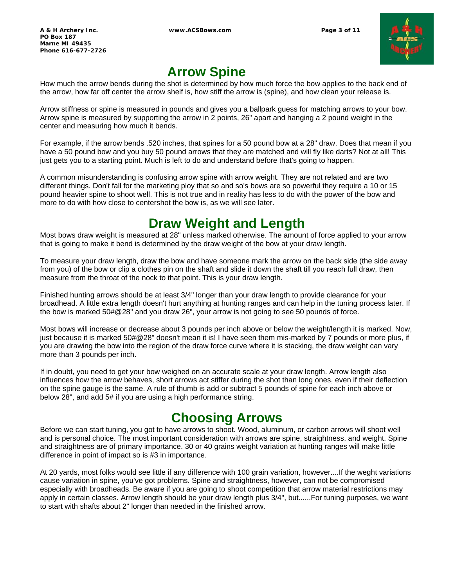**A & H Archery Inc. www.ACSBows.com Page 3 of 11 PO Box 187 Marne MI 49435 Phone 616-677-2726**



# **Arrow Spine**

How much the arrow bends during the shot is determined by how much force the bow applies to the back end of the arrow, how far off center the arrow shelf is, how stiff the arrow is (spine), and how clean your release is.

Arrow stiffness or spine is measured in pounds and gives you a ballpark guess for matching arrows to your bow. Arrow spine is measured by supporting the arrow in 2 points, 26" apart and hanging a 2 pound weight in the center and measuring how much it bends.

For example, if the arrow bends .520 inches, that spines for a 50 pound bow at a 28" draw. Does that mean if you have a 50 pound bow and you buy 50 pound arrows that they are matched and will fly like darts? Not at all! This just gets you to a starting point. Much is left to do and understand before that's going to happen.

A common misunderstanding is confusing arrow spine with arrow weight. They are not related and are two different things. Don't fall for the marketing ploy that so and so's bows are so powerful they require a 10 or 15 pound heavier spine to shoot well. This is not true and in reality has less to do with the power of the bow and more to do with how close to centershot the bow is, as we will see later.

# **Draw Weight and Length**

Most bows draw weight is measured at 28" unless marked otherwise. The amount of force applied to your arrow that is going to make it bend is determined by the draw weight of the bow at your draw length.

To measure your draw length, draw the bow and have someone mark the arrow on the back side (the side away from you) of the bow or clip a clothes pin on the shaft and slide it down the shaft till you reach full draw, then measure from the throat of the nock to that point. This is your draw length.

Finished hunting arrows should be at least 3/4" longer than your draw length to provide clearance for your broadhead. A little extra length doesn't hurt anything at hunting ranges and can help in the tuning process later. If the bow is marked 50#@28" and you draw 26", your arrow is not going to see 50 pounds of force.

Most bows will increase or decrease about 3 pounds per inch above or below the weight/length it is marked. Now, just because it is marked 50#@28" doesn't mean it is! I have seen them mis-marked by 7 pounds or more plus, if you are drawing the bow into the region of the draw force curve where it is stacking, the draw weight can vary more than 3 pounds per inch.

If in doubt, you need to get your bow weighed on an accurate scale at your draw length. Arrow length also influences how the arrow behaves, short arrows act stiffer during the shot than long ones, even if their deflection on the spine gauge is the same. A rule of thumb is add or subtract 5 pounds of spine for each inch above or below 28", and add 5# if you are using a high performance string.

# **Choosing Arrows**

Before we can start tuning, you got to have arrows to shoot. Wood, aluminum, or carbon arrows will shoot well and is personal choice. The most important consideration with arrows are spine, straightness, and weight. Spine and straightness are of primary importance. 30 or 40 grains weight variation at hunting ranges will make little difference in point of impact so is #3 in importance.

At 20 yards, most folks would see little if any difference with 100 grain variation, however....If the weght variations cause variation in spine, you've got problems. Spine and straightness, however, can not be compromised especially with broadheads. Be aware if you are going to shoot competition that arrow material restrictions may apply in certain classes. Arrow length should be your draw length plus 3/4", but......For tuning purposes, we want to start with shafts about 2" longer than needed in the finished arrow.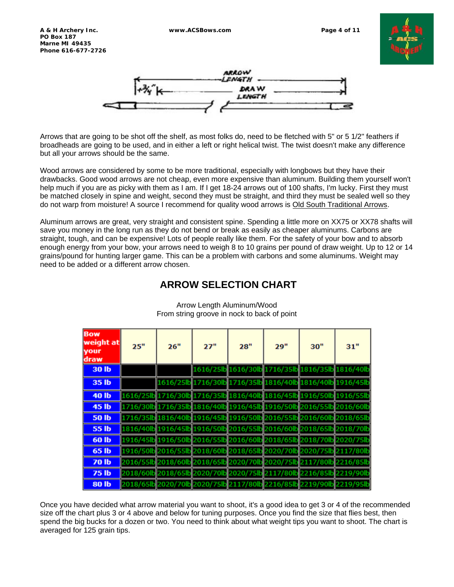



Arrows that are going to be shot off the shelf, as most folks do, need to be fletched with 5" or 5 1/2" feathers if broadheads are going to be used, and in either a left or right helical twist. The twist doesn't make any difference but all your arrows should be the same.

Wood arrows are considered by some to be more traditional, especially with longbows but they have their drawbacks. Good wood arrows are not cheap, even more expensive than aluminum. Building them yourself won't help much if you are as picky with them as I am. If I get 18-24 arrows out of 100 shafts, I'm lucky. First they must be matched closely in spine and weight, second they must be straight, and third they must be sealed well so they do not warp from moisture! A source I recommend for quality wood arrows is Old South Traditional Arrows.

Aluminum arrows are great, very straight and consistent spine. Spending a little more on XX75 or XX78 shafts will save you money in the long run as they do not bend or break as easily as cheaper aluminums. Carbons are straight, tough, and can be expensive! Lots of people really like them. For the safety of your bow and to absorb enough energy from your bow, your arrows need to weigh 8 to 10 grains per pound of draw weight. Up to 12 or 14 grains/pound for hunting larger game. This can be a problem with carbons and some aluminums. Weight may need to be added or a different arrow chosen.

#### **Row** weight at  $25"$  $26"$  $27"$  $28"$  $29"$  $30<sup>n</sup>$  $31"$ vour draw **30 lb 616/25lb** 1616/30|| 716/35ll 816/35 816/40 35 lb 1616/25 716/30 916/45 1716/35|| 816/40 816/40 **40 lb** 616/25 716/30 716/35 1816/40 1816/45lt 916/50  $916/55$ **45 lb** 816/40  $916/45$ **50 lb** 916/45 716/35 816/40 1916/50| 016/55 016/60 '018 /651 **55 lb** 916/50 /45 2016 2018 016 018 **60 lb** cς **65 lb 018/60** 018/65 /50 /551 - 1 016 **70 lb** 2018/65**||** 2020 016 018 70 '020 11 '216 **75 lb** 020 2020 018 70 **80 lb** 018 וחכמי ,,,,

### **ARROW SELECTION CHART**

Arrow Length Aluminum/Wood From string groove in nock to back of point

Once you have decided what arrow material you want to shoot, it's a good idea to get 3 or 4 of the recommended size off the chart plus 3 or 4 above and below for tuning purposes. Once you find the size that flies best, then spend the big bucks for a dozen or two. You need to think about what weight tips you want to shoot. The chart is averaged for 125 grain tips.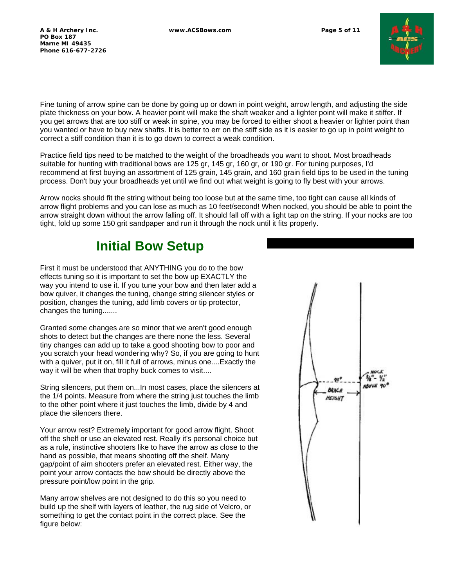**A & H Archery Inc. www.ACSBows.com Page 5 of 11 PO Box 187 Marne MI 49435 Phone 616-677-2726**



Fine tuning of arrow spine can be done by going up or down in point weight, arrow length, and adjusting the side plate thickness on your bow. A heavier point will make the shaft weaker and a lighter point will make it stiffer. If you get arrows that are too stiff or weak in spine, you may be forced to either shoot a heavier or lighter point than you wanted or have to buy new shafts. It is better to err on the stiff side as it is easier to go up in point weight to correct a stiff condition than it is to go down to correct a weak condition.

Practice field tips need to be matched to the weight of the broadheads you want to shoot. Most broadheads suitable for hunting with traditional bows are 125 gr, 145 gr, 160 gr, or 190 gr. For tuning purposes, I'd recommend at first buying an assortment of 125 grain, 145 grain, and 160 grain field tips to be used in the tuning process. Don't buy your broadheads yet until we find out what weight is going to fly best with your arrows.

Arrow nocks should fit the string without being too loose but at the same time, too tight can cause all kinds of arrow flight problems and you can lose as much as 10 feet/second! When nocked, you should be able to point the arrow straight down without the arrow falling off. It should fall off with a light tap on the string. If your nocks are too tight, fold up some 150 grit sandpaper and run it through the nock until it fits properly.

# **Initial Bow Setup**

First it must be understood that ANYTHING you do to the bow effects tuning so it is important to set the bow up EXACTLY the way you intend to use it. If you tune your bow and then later add a bow quiver, it changes the tuning, change string silencer styles or position, changes the tuning, add limb covers or tip protector, changes the tuning.......

Granted some changes are so minor that we aren't good enough shots to detect but the changes are there none the less. Several tiny changes can add up to take a good shooting bow to poor and you scratch your head wondering why? So, if you are going to hunt with a quiver, put it on, fill it full of arrows, minus one....Exactly the way it will be when that trophy buck comes to visit....

String silencers, put them on...In most cases, place the silencers at the 1/4 points. Measure from where the string just touches the limb to the other point where it just touches the limb, divide by 4 and place the silencers there.

Your arrow rest? Extremely important for good arrow flight. Shoot off the shelf or use an elevated rest. Really it's personal choice but as a rule, instinctive shooters like to have the arrow as close to the hand as possible, that means shooting off the shelf. Many gap/point of aim shooters prefer an elevated rest. Either way, the point your arrow contacts the bow should be directly above the pressure point/low point in the grip.

Many arrow shelves are not designed to do this so you need to build up the shelf with layers of leather, the rug side of Velcro, or something to get the contact point in the correct place. See the figure below:

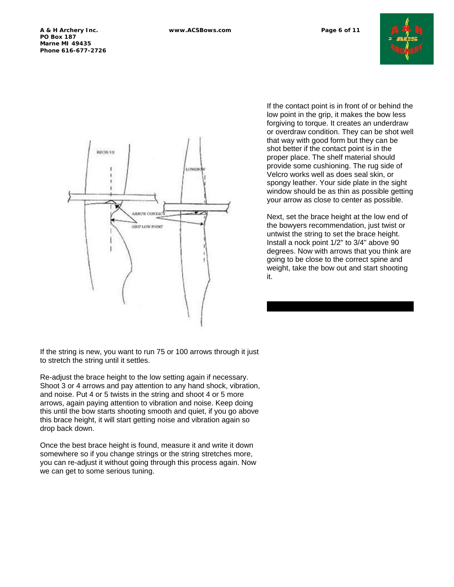



If the contact point is in front of or behind the low point in the grip, it makes the bow less forgiving to torque. It creates an underdraw or overdraw condition. They can be shot well that way with good form but they can be shot better if the contact point is in the proper place. The shelf material should provide some cushioning. The rug side of Velcro works well as does seal skin, or spongy leather. Your side plate in the sight window should be as thin as possible getting your arrow as close to center as possible.

Next, set the brace height at the low end of the bowyers recommendation, just twist or untwist the string to set the brace height. Install a nock point 1/2" to 3/4" above 90 degrees. Now with arrows that you think are going to be close to the correct spine and weight, take the bow out and start shooting it.

If the string is new, you want to run 75 or 100 arrows through it just to stretch the string until it settles.

Re-adjust the brace height to the low setting again if necessary. Shoot 3 or 4 arrows and pay attention to any hand shock, vibration, and noise. Put 4 or 5 twists in the string and shoot 4 or 5 more arrows, again paying attention to vibration and noise. Keep doing this until the bow starts shooting smooth and quiet, if you go above this brace height, it will start getting noise and vibration again so drop back down.

Once the best brace height is found, measure it and write it down somewhere so if you change strings or the string stretches more, you can re-adjust it without going through this process again. Now we can get to some serious tuning.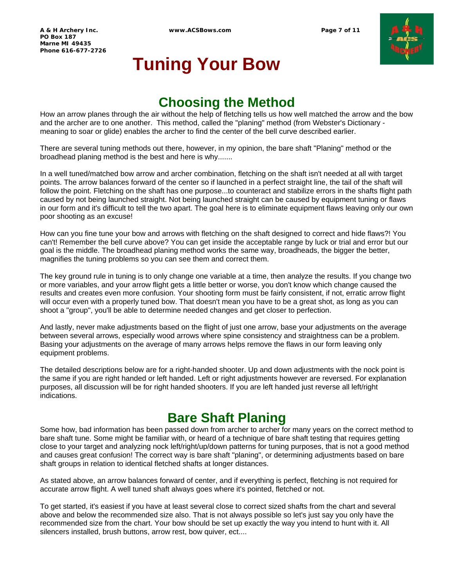# **Tuning Your Bow**

# **Choosing the Method**

How an arrow planes through the air without the help of fletching tells us how well matched the arrow and the bow and the archer are to one another. This method, called the "planing" method (from Webster's Dictionary meaning to soar or glide) enables the archer to find the center of the bell curve described earlier.

There are several tuning methods out there, however, in my opinion, the bare shaft "Planing" method or the broadhead planing method is the best and here is why.......

In a well tuned/matched bow arrow and archer combination, fletching on the shaft isn't needed at all with target points. The arrow balances forward of the center so if launched in a perfect straight line, the tail of the shaft will follow the point. Fletching on the shaft has one purpose...to counteract and stabilize errors in the shafts flight path caused by not being launched straight. Not being launched straight can be caused by equipment tuning or flaws in our form and it's difficult to tell the two apart. The goal here is to eliminate equipment flaws leaving only our own poor shooting as an excuse!

How can you fine tune your bow and arrows with fletching on the shaft designed to correct and hide flaws?! You can't! Remember the bell curve above? You can get inside the acceptable range by luck or trial and error but our goal is the middle. The broadhead planing method works the same way, broadheads, the bigger the better, magnifies the tuning problems so you can see them and correct them.

The key ground rule in tuning is to only change one variable at a time, then analyze the results. If you change two or more variables, and your arrow flight gets a little better or worse, you don't know which change caused the results and creates even more confusion. Your shooting form must be fairly consistent, if not, erratic arrow flight will occur even with a properly tuned bow. That doesn't mean you have to be a great shot, as long as you can shoot a "group", you'll be able to determine needed changes and get closer to perfection.

And lastly, never make adjustments based on the flight of just one arrow, base your adjustments on the average between several arrows, especially wood arrows where spine consistency and straightness can be a problem. Basing your adjustments on the average of many arrows helps remove the flaws in our form leaving only equipment problems.

The detailed descriptions below are for a right-handed shooter. Up and down adjustments with the nock point is the same if you are right handed or left handed. Left or right adjustments however are reversed. For explanation purposes, all discussion will be for right handed shooters. If you are left handed just reverse all left/right indications.

# **Bare Shaft Planing**

Some how, bad information has been passed down from archer to archer for many years on the correct method to bare shaft tune. Some might be familiar with, or heard of a technique of bare shaft testing that requires getting close to your target and analyzing nock left/right/up/down patterns for tuning purposes, that is not a good method and causes great confusion! The correct way is bare shaft "planing", or determining adjustments based on bare shaft groups in relation to identical fletched shafts at longer distances.

As stated above, an arrow balances forward of center, and if everything is perfect, fletching is not required for accurate arrow flight. A well tuned shaft always goes where it's pointed, fletched or not.

To get started, it's easiest if you have at least several close to correct sized shafts from the chart and several above and below the recommended size also. That is not always possible so let's just say you only have the recommended size from the chart. Your bow should be set up exactly the way you intend to hunt with it. All silencers installed, brush buttons, arrow rest, bow quiver, ect....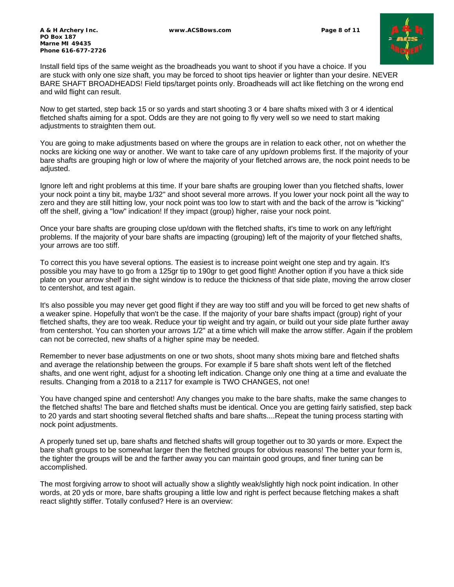**A & H Archery Inc. www.ACSBows.com Page 8 of 11 PO Box 187 Marne MI 49435 Phone 616-677-2726**



Install field tips of the same weight as the broadheads you want to shoot if you have a choice. If you are stuck with only one size shaft, you may be forced to shoot tips heavier or lighter than your desire. NEVER BARE SHAFT BROADHEADS! Field tips/target points only. Broadheads will act like fletching on the wrong end and wild flight can result.

Now to get started, step back 15 or so yards and start shooting 3 or 4 bare shafts mixed with 3 or 4 identical fletched shafts aiming for a spot. Odds are they are not going to fly very well so we need to start making adjustments to straighten them out.

You are going to make adjustments based on where the groups are in relation to eack other, not on whether the nocks are kicking one way or another. We want to take care of any up/down problems first. If the majority of your bare shafts are grouping high or low of where the majority of your fletched arrows are, the nock point needs to be adjusted.

Ignore left and right problems at this time. If your bare shafts are grouping lower than you fletched shafts, lower your nock point a tiny bit, maybe 1/32" and shoot several more arrows. If you lower your nock point all the way to zero and they are still hitting low, your nock point was too low to start with and the back of the arrow is "kicking" off the shelf, giving a "low" indication! If they impact (group) higher, raise your nock point.

Once your bare shafts are grouping close up/down with the fletched shafts, it's time to work on any left/right problems. If the majority of your bare shafts are impacting (grouping) left of the majority of your fletched shafts, your arrows are too stiff.

To correct this you have several options. The easiest is to increase point weight one step and try again. It's possible you may have to go from a 125gr tip to 190gr to get good flight! Another option if you have a thick side plate on your arrow shelf in the sight window is to reduce the thickness of that side plate, moving the arrow closer to centershot, and test again.

It's also possible you may never get good flight if they are way too stiff and you will be forced to get new shafts of a weaker spine. Hopefully that won't be the case. If the majority of your bare shafts impact (group) right of your fletched shafts, they are too weak. Reduce your tip weight and try again, or build out your side plate further away from centershot. You can shorten your arrows 1/2" at a time which will make the arrow stiffer. Again if the problem can not be corrected, new shafts of a higher spine may be needed.

Remember to never base adjustments on one or two shots, shoot many shots mixing bare and fletched shafts and average the relationship between the groups. For example if 5 bare shaft shots went left of the fletched shafts, and one went right, adjust for a shooting left indication. Change only one thing at a time and evaluate the results. Changing from a 2018 to a 2117 for example is TWO CHANGES, not one!

You have changed spine and centershot! Any changes you make to the bare shafts, make the same changes to the fletched shafts! The bare and fletched shafts must be identical. Once you are getting fairly satisfied, step back to 20 yards and start shooting several fletched shafts and bare shafts....Repeat the tuning process starting with nock point adjustments.

A properly tuned set up, bare shafts and fletched shafts will group together out to 30 yards or more. Expect the bare shaft groups to be somewhat larger then the fletched groups for obvious reasons! The better your form is, the tighter the groups will be and the farther away you can maintain good groups, and finer tuning can be accomplished.

The most forgiving arrow to shoot will actually show a slightly weak/slightly high nock point indication. In other words, at 20 yds or more, bare shafts grouping a little low and right is perfect because fletching makes a shaft react slightly stiffer. Totally confused? Here is an overview: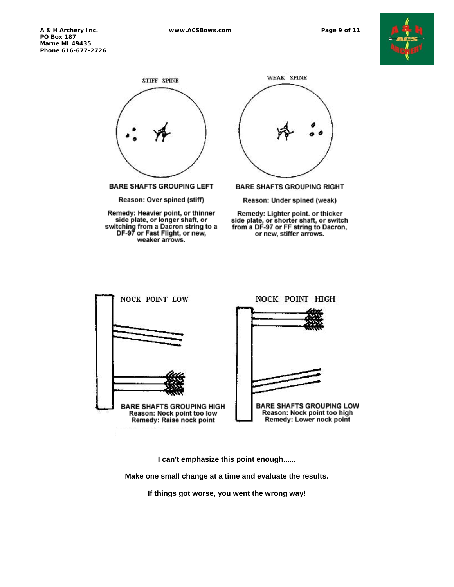**A & H Archery Inc. www.ACSBows.com Page 9 of 11 PO Box 187 Marne MI 49435 Phone 616-677-2726**





Reason: Over spined (stiff)

Remedy: Heavier point, or thinner side plate, or longer shaft, or switching from a Dacron string to a<br>DF-97 or Fast Flight, or new, weaker arrows.



**BARE SHAFTS GROUPING RIGHT** 

Reason: Under spined (weak)

Remedy: Lighter point. or thicker<br>side plate, or shorter shaft, or switch side plate, or shorter share, or switch<br>from a DF-97 or FF string to Dacron,<br>or new, stiffer arrows.



**I can't emphasize this point enough......** 

**Make one small change at a time and evaluate the results.** 

**If things got worse, you went the wrong way!**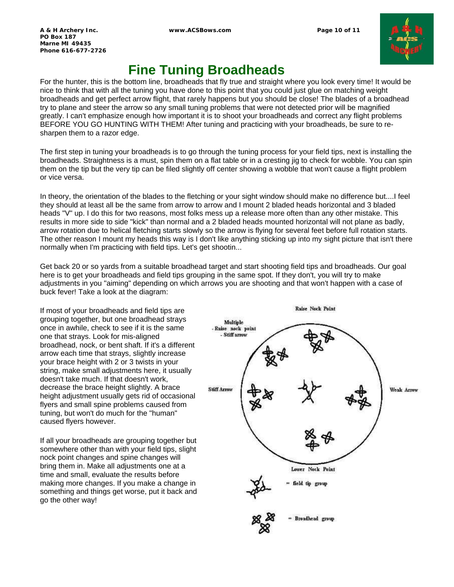

# **Fine Tuning Broadheads**

For the hunter, this is the bottom line, broadheads that fly true and straight where you look every time! It would be nice to think that with all the tuning you have done to this point that you could just glue on matching weight broadheads and get perfect arrow flight, that rarely happens but you should be close! The blades of a broadhead try to plane and steer the arrow so any small tuning problems that were not detected prior will be magnified greatly. I can't emphasize enough how important it is to shoot your broadheads and correct any flight problems BEFORE YOU GO HUNTING WITH THEM! After tuning and practicing with your broadheads, be sure to resharpen them to a razor edge.

The first step in tuning your broadheads is to go through the tuning process for your field tips, next is installing the broadheads. Straightness is a must, spin them on a flat table or in a cresting jig to check for wobble. You can spin them on the tip but the very tip can be filed slightly off center showing a wobble that won't cause a flight problem or vice versa.

In theory, the orientation of the blades to the fletching or your sight window should make no difference but....I feel they should at least all be the same from arrow to arrow and I mount 2 bladed heads horizontal and 3 bladed heads "V" up. I do this for two reasons, most folks mess up a release more often than any other mistake. This results in more side to side "kick" than normal and a 2 bladed heads mounted horizontal will not plane as badly, arrow rotation due to helical fletching starts slowly so the arrow is flying for several feet before full rotation starts. The other reason I mount my heads this way is I don't like anything sticking up into my sight picture that isn't there normally when I'm practicing with field tips. Let's get shootin...

Get back 20 or so yards from a suitable broadhead target and start shooting field tips and broadheads. Our goal here is to get your broadheads and field tips grouping in the same spot. If they don't, you will try to make adjustments in you "aiming" depending on which arrows you are shooting and that won't happen with a case of buck fever! Take a look at the diagram:

If most of your broadheads and field tips are grouping together, but one broadhead strays once in awhile, check to see if it is the same one that strays. Look for mis-aligned broadhead, nock, or bent shaft. If it's a different arrow each time that strays, slightly increase your brace height with 2 or 3 twists in your string, make small adjustments here, it usually doesn't take much. If that doesn't work, decrease the brace height slightly. A brace height adjustment usually gets rid of occasional flyers and small spine problems caused from tuning, but won't do much for the "human" caused flyers however.

If all your broadheads are grouping together but somewhere other than with your field tips, slight nock point changes and spine changes will bring them in. Make all adjustments one at a time and small, evaluate the results before making more changes. If you make a change in something and things get worse, put it back and go the other way!